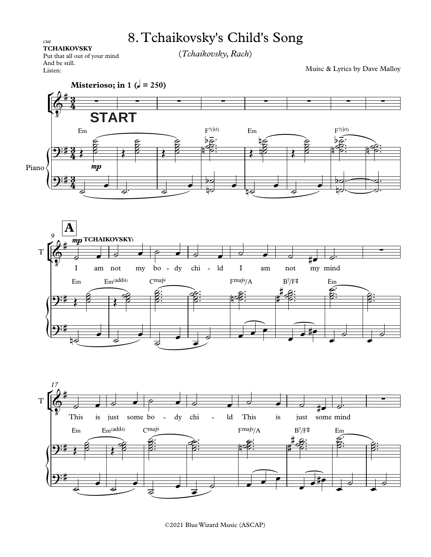## 8. Tchaikovsky's Child's Song

(*Tchaikovsky,Rach*)

Muisc & Lyrics by Dave Malloy

*cue*<br> **TCHAIKOVSKY**<br>
Put that all out of your mind<br>
And be still.<br>
Listen:<br> **Misterioso; i** Put that all out of your mind And be still. Listen:







©2021 Blue Wizard Music (ASCAP)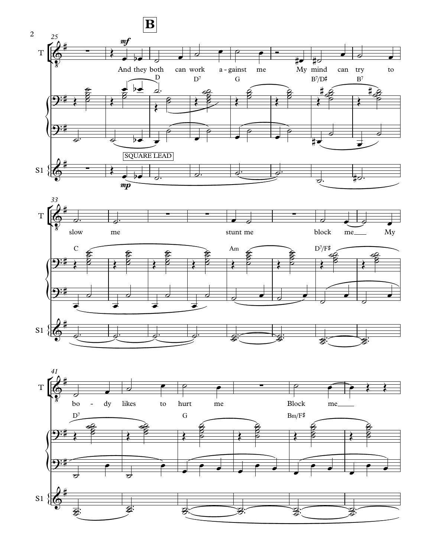



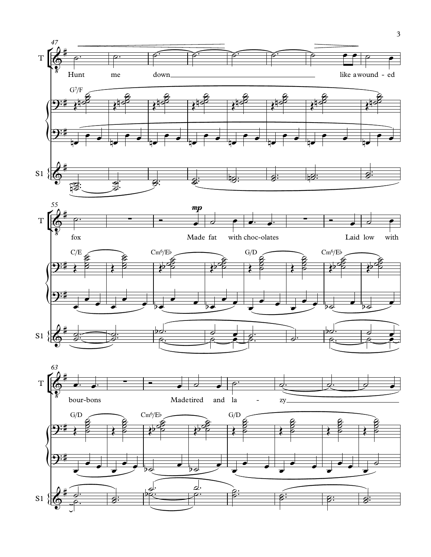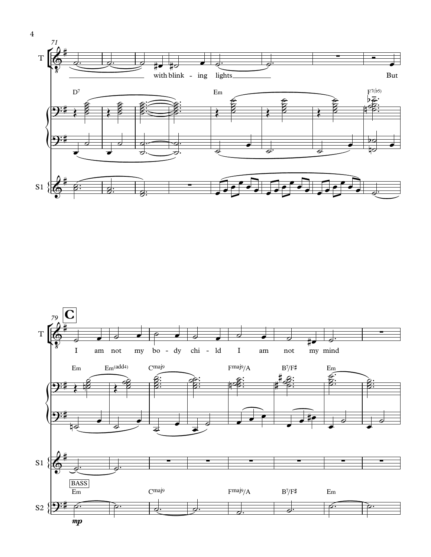